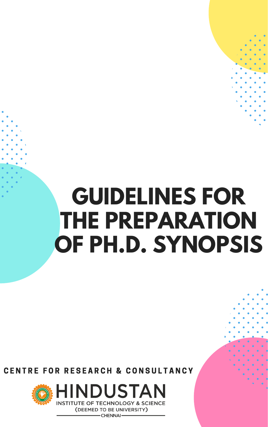# GUIDELINES FOR THE PREPARATION OF PH.D. SYNOPSIS

## CENTRE FOR RESEARCH & CONSULTANCY



HINDUSTAN **INSTITUTE OF TECHNOLOGY & SCIENCE** 

> (DEEMED TO BE UNIVERSITY) - CHENNAI-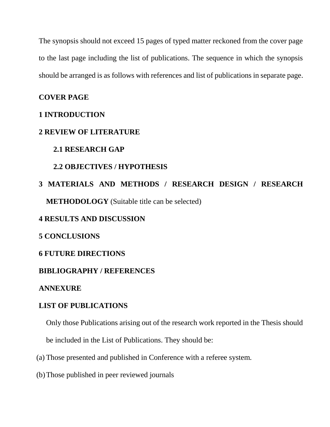The synopsis should not exceed 15 pages of typed matter reckoned from the cover page to the last page including the list of publications. The sequence in which the synopsis should be arranged is as follows with references and list of publications in separate page.

#### **COVER PAGE**

#### **1 INTRODUCTION**

#### **2 REVIEW OF LITERATURE**

#### **2.1 RESEARCH GAP**

#### **2.2 OBJECTIVES / HYPOTHESIS**

### **3 MATERIALS AND METHODS / RESEARCH DESIGN / RESEARCH METHODOLOGY** (Suitable title can be selected)

#### **4 RESULTS AND DISCUSSION**

#### **5 CONCLUSIONS**

#### **6 FUTURE DIRECTIONS**

#### **BIBLIOGRAPHY / REFERENCES**

#### **ANNEXURE**

#### **LIST OF PUBLICATIONS**

Only those Publications arising out of the research work reported in the Thesis should be included in the List of Publications. They should be:

- (a) Those presented and published in Conference with a referee system.
- (b)Those published in peer reviewed journals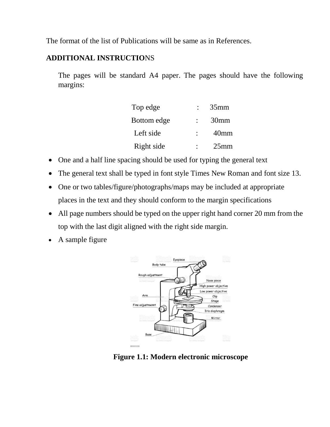The format of the list of Publications will be same as in References.

#### **ADDITIONAL INSTRUCTIO**NS

The pages will be standard A4 paper. The pages should have the following margins:

| Top edge    | 35mm             |
|-------------|------------------|
| Bottom edge | 30 <sub>mm</sub> |
| Left side   | 40 <sub>mm</sub> |
| Right side  | $25$ mm          |

- One and a half line spacing should be used for typing the general text
- The general text shall be typed in font style Times New Roman and font size 13.
- One or two tables/figure/photographs/maps may be included at appropriate places in the text and they should conform to the margin specifications
- All page numbers should be typed on the upper right hand corner 20 mm from the top with the last digit aligned with the right side margin.
- A sample figure



**Figure 1.1: Modern electronic microscope**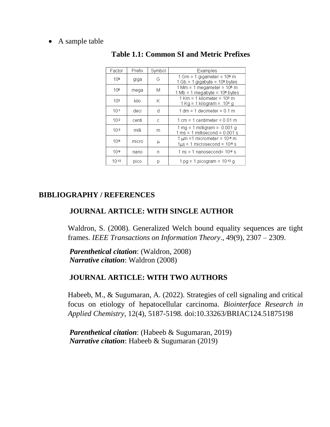#### • A sample table

| Factor          | Prefix | Symbol | Examples                                                                                                            |
|-----------------|--------|--------|---------------------------------------------------------------------------------------------------------------------|
| 10 <sup>9</sup> | giga   | G      | 1 Gm = 1 gigameter = 109 m<br>$1$ Gb = 1 gigabyte = $109$ bytes                                                     |
| 10 <sup>6</sup> | mega   | М      | $1$ Mm = 1 megameter = $106$ m<br>1 Mb = 1 megabyte = 10 <sup>e</sup> bytes                                         |
| 10 <sup>3</sup> | kilo   | Κ      | $1$ Km = 1 kilometer = $103$ m<br>1 Kg = 1 kilogram = 103 g                                                         |
| $10 - 1$        | deci   | d      | $1 dm = 1 decimeter = 0.1 m$                                                                                        |
| $10-2$          | centi  | C      | $1 \text{ cm} = 1 \text{ centimeter} = 0.01 \text{ m}$                                                              |
| $10-3$          | milli  | m      | $1 \text{ mg} = 1 \text{ milligram} = 0.001 \text{ g}$<br>$1 \text{ ms} = 1 \text{ milliseconds} = 0.001 \text{ s}$ |
| $10 - 6$        | micro  | μ      | $1 \mu m = 1$ micrometer = $10-6$ m<br>$1\mu s = 1$ microsecond = $10\text{-}8$ s                                   |
| $10 - 9$        | nano   | n      | 1 ns = 1 nanosecond= $109$ s                                                                                        |
| $10-12$         | pico   | р      | $1 \text{ pg} = 1 \text{ picogram} = 10.12 \text{ g}$                                                               |

#### **Table 1.1: Common SI and Metric Prefixes**

#### **BIBLIOGRAPHY / REFERENCES**

#### **JOURNAL ARTICLE: WITH SINGLE AUTHOR**

Waldron, S. (2008). Generalized Welch bound equality sequences are tight frames. *IEEE Transactions on Information Theory*., 49(9), 2307 – 2309.

*Parenthetical citation*: (Waldron, 2008) *Narrative citation*: Waldron (2008)

#### **JOURNAL ARTICLE: WITH TWO AUTHORS**

Habeeb, M., & Sugumaran, A. (2022). Strategies of cell signaling and critical focus on etiology of hepatocellular carcinoma. *Biointerface Research in Applied Chemistry*, 12(4), 5187-5198. doi:10.33263/BRIAC124.51875198

*Parenthetical citation*: (Habeeb & Sugumaran, 2019) *Narrative citation*: Habeeb & Sugumaran (2019)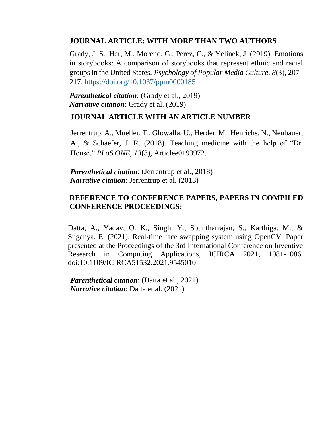#### **JOURNAL ARTICLE: WITH MORE THAN TWO AUTHORS**

Grady, J. S., Her, M., Moreno, G., Perez, C., & Yelinek, J. (2019). Emotions in storybooks: A comparison of storybooks that represent ethnic and racial groups in the United States. *Psychology of Popular Media Culture*, *8*(3), 207– 217. <https://doi.org/10.1037/ppm0000185>

*Parenthetical citation*: (Grady et al., 2019) *Narrative citation*: Grady et al. (2019)

#### **JOURNAL ARTICLE WITH AN ARTICLE NUMBER**

Jerrentrup, A., Mueller, T., Glowalla, U., Herder, M., Henrichs, N., Neubauer, A., & Schaefer, J. R. (2018). Teaching medicine with the help of "Dr. House." *PLoS ONE*, *13*(3), Articlee0193972.

*Parenthetical citation*: (Jerrentrup et al., 2018) *Narrative citation*: Jerrentrup et al. (2018)

#### **REFERENCE TO CONFERENCE PAPERS, PAPERS IN COMPILED CONFERENCE PROCEEDINGS:**

Datta, A., Yadav, O. K., Singh, Y., Sountharrajan, S., Karthiga, M., & Suganya, E. (2021). Real-time face swapping system using OpenCV. Paper presented at the Proceedings of the 3rd International Conference on Inventive Research in Computing Applications, ICIRCA 2021, 1081-1086. doi:10.1109/ICIRCA51532.2021.9545010

*Parenthetical citation*: (Datta et al., 2021) *Narrative citation*: Datta et al. (2021)